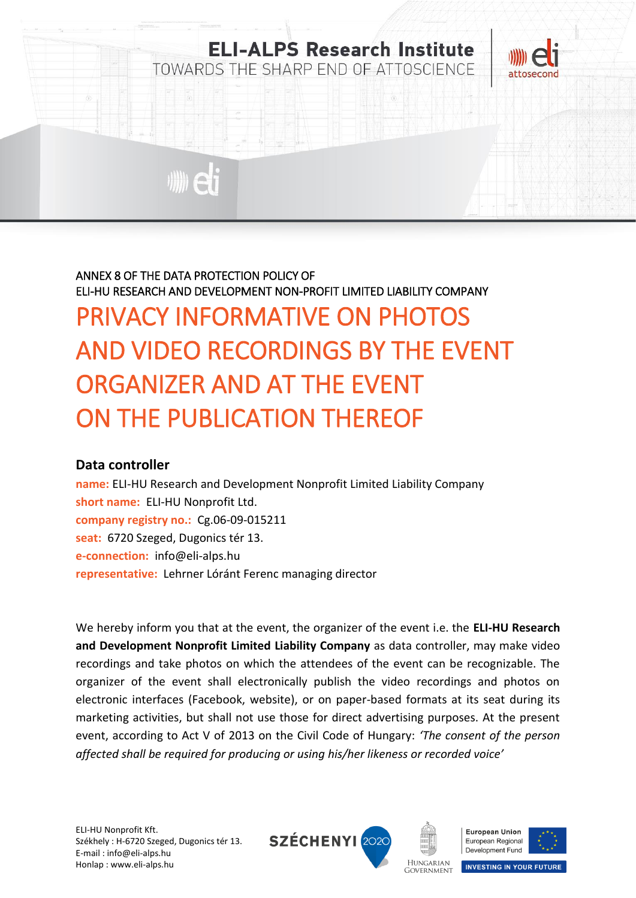

## ANNEX 8 OF THE DATA PROTECTION POLICY OF ELI-HU RESEARCH AND DEVELOPMENT NON-PROFIT LIMITED LIABILITY COMPANY PRIVACY INFORMATIVE ON PHOTOS AND VIDEO RECORDINGS BY THE EVENT ORGANIZER AND AT THE EVENT ON THE PUBLICATION THEREOF

## **Data controller**

**name:** ELI-HU Research and Development Nonprofit Limited Liability Company **short name:** ELI-HU Nonprofit Ltd. **company registry no.:** Cg.06-09-015211 **seat:** 6720 Szeged, Dugonics tér 13. **e-connection:** info@eli-alps.hu **representative:** Lehrner Lóránt Ferenc managing director

We hereby inform you that at the event, the organizer of the event i.e. the **ELI-HU Research and Development Nonprofit Limited Liability Company** as data controller, may make video recordings and take photos on which the attendees of the event can be recognizable. The organizer of the event shall electronically publish the video recordings and photos on electronic interfaces (Facebook, website), or on paper-based formats at its seat during its marketing activities, but shall not use those for direct advertising purposes. At the present event, according to Act V of 2013 on the Civil Code of Hungary: *'The consent of the person affected shall be required for producing or using his/her likeness or recorded voice'*





**GOVERNMENT** 



**INVESTING IN YOUR FUTURE**